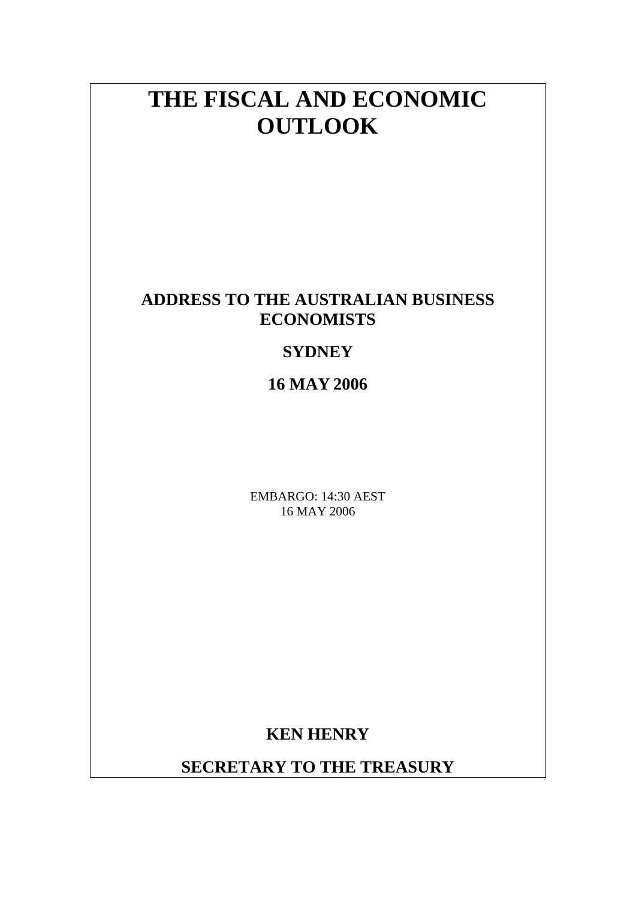# **THE FISCAL AND ECONOMIC OUTLOOK**

# **ADDRESS TO THE AUSTRALIAN BUSINESS ECONOMISTS**

# **SYDNEY**

**16 MAY 2006**

EMBARGO: 14:30 AEST 16 MAY 2006

**KEN HENRY** 

**SECRETARY TO THE TREASURY**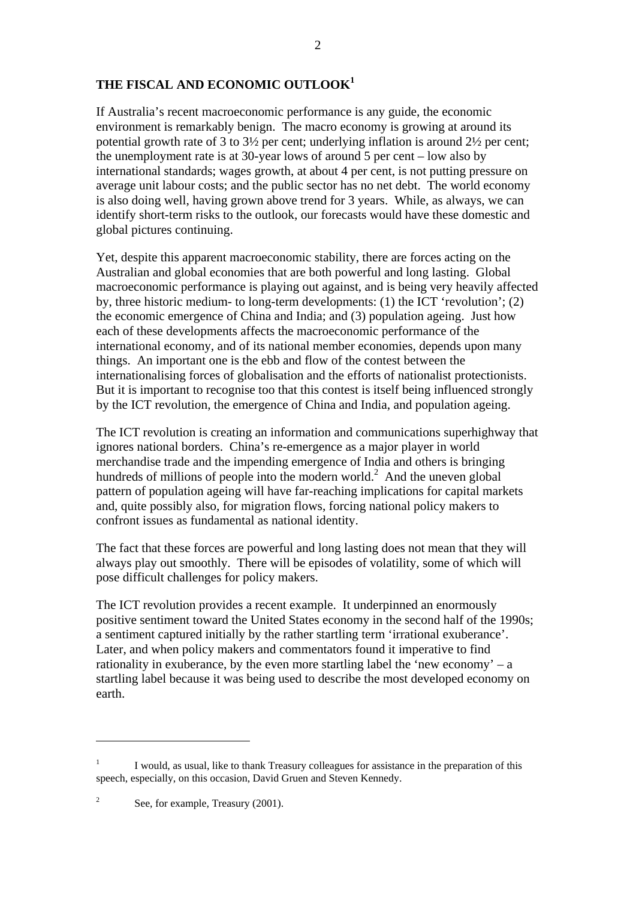## **THE FISCAL AND ECONOMIC OUTLOOK<sup>1</sup>**

If Australia's recent macroeconomic performance is any guide, the economic environment is remarkably benign. The macro economy is growing at around its potential growth rate of 3 to 3½ per cent; underlying inflation is around 2½ per cent; the unemployment rate is at 30-year lows of around 5 per cent – low also by international standards; wages growth, at about 4 per cent, is not putting pressure on average unit labour costs; and the public sector has no net debt. The world economy is also doing well, having grown above trend for 3 years. While, as always, we can identify short-term risks to the outlook, our forecasts would have these domestic and global pictures continuing.

Yet, despite this apparent macroeconomic stability, there are forces acting on the Australian and global economies that are both powerful and long lasting. Global macroeconomic performance is playing out against, and is being very heavily affected by, three historic medium- to long-term developments: (1) the ICT 'revolution'; (2) the economic emergence of China and India; and (3) population ageing. Just how each of these developments affects the macroeconomic performance of the international economy, and of its national member economies, depends upon many things. An important one is the ebb and flow of the contest between the internationalising forces of globalisation and the efforts of nationalist protectionists. But it is important to recognise too that this contest is itself being influenced strongly by the ICT revolution, the emergence of China and India, and population ageing.

The ICT revolution is creating an information and communications superhighway that ignores national borders. China's re-emergence as a major player in world merchandise trade and the impending emergence of India and others is bringing hundreds of millions of people into the modern world.<sup>2</sup> And the uneven global pattern of population ageing will have far-reaching implications for capital markets and, quite possibly also, for migration flows, forcing national policy makers to confront issues as fundamental as national identity.

The fact that these forces are powerful and long lasting does not mean that they will always play out smoothly. There will be episodes of volatility, some of which will pose difficult challenges for policy makers.

The ICT revolution provides a recent example. It underpinned an enormously positive sentiment toward the United States economy in the second half of the 1990s; a sentiment captured initially by the rather startling term 'irrational exuberance'. Later, and when policy makers and commentators found it imperative to find rationality in exuberance, by the even more startling label the 'new economy'  $- a$ startling label because it was being used to describe the most developed economy on earth.

<sup>1</sup> I would, as usual, like to thank Treasury colleagues for assistance in the preparation of this speech, especially, on this occasion, David Gruen and Steven Kennedy.

<sup>2</sup> See, for example, Treasury (2001).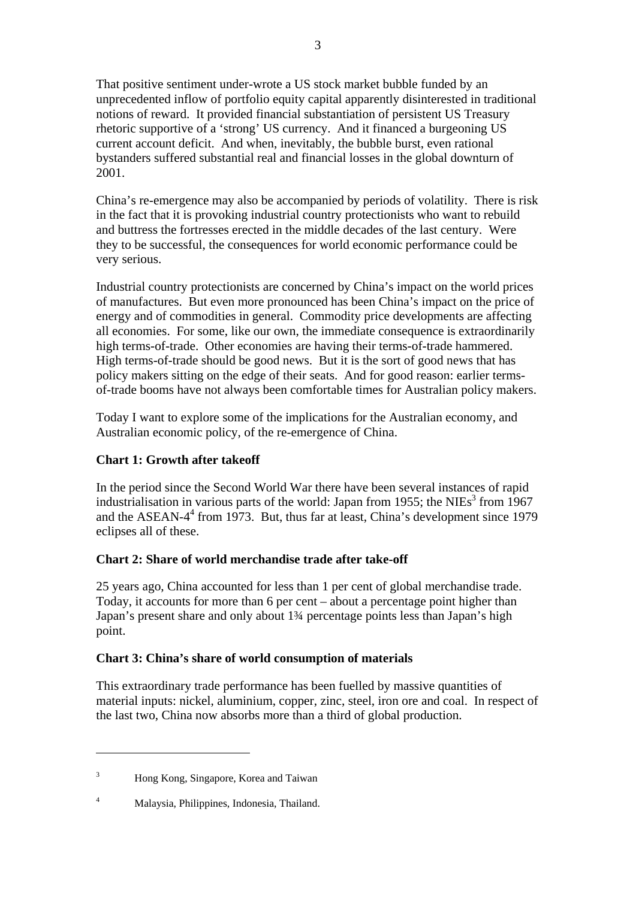That positive sentiment under-wrote a US stock market bubble funded by an unprecedented inflow of portfolio equity capital apparently disinterested in traditional notions of reward. It provided financial substantiation of persistent US Treasury rhetoric supportive of a 'strong' US currency. And it financed a burgeoning US current account deficit. And when, inevitably, the bubble burst, even rational bystanders suffered substantial real and financial losses in the global downturn of 2001.

China's re-emergence may also be accompanied by periods of volatility. There is risk in the fact that it is provoking industrial country protectionists who want to rebuild and buttress the fortresses erected in the middle decades of the last century. Were they to be successful, the consequences for world economic performance could be very serious.

Industrial country protectionists are concerned by China's impact on the world prices of manufactures. But even more pronounced has been China's impact on the price of energy and of commodities in general. Commodity price developments are affecting all economies. For some, like our own, the immediate consequence is extraordinarily high terms-of-trade. Other economies are having their terms-of-trade hammered. High terms-of-trade should be good news. But it is the sort of good news that has policy makers sitting on the edge of their seats. And for good reason: earlier termsof-trade booms have not always been comfortable times for Australian policy makers.

Today I want to explore some of the implications for the Australian economy, and Australian economic policy, of the re-emergence of China.

#### **Chart 1: Growth after takeoff**

In the period since the Second World War there have been several instances of rapid industrialisation in various parts of the world: Japan from 1955; the NIEs<sup>3</sup> from 1967 and the ASEAN-4<sup>4</sup> from 1973. But, thus far at least, China's development since 1979 eclipses all of these.

#### **Chart 2: Share of world merchandise trade after take-off**

25 years ago, China accounted for less than 1 per cent of global merchandise trade. Today, it accounts for more than 6 per cent – about a percentage point higher than Japan's present share and only about 1¾ percentage points less than Japan's high point.

#### **Chart 3: China's share of world consumption of materials**

This extraordinary trade performance has been fuelled by massive quantities of material inputs: nickel, aluminium, copper, zinc, steel, iron ore and coal. In respect of the last two, China now absorbs more than a third of global production.

<u>.</u>

<sup>3</sup> Hong Kong, Singapore, Korea and Taiwan

<sup>4</sup> Malaysia, Philippines, Indonesia, Thailand.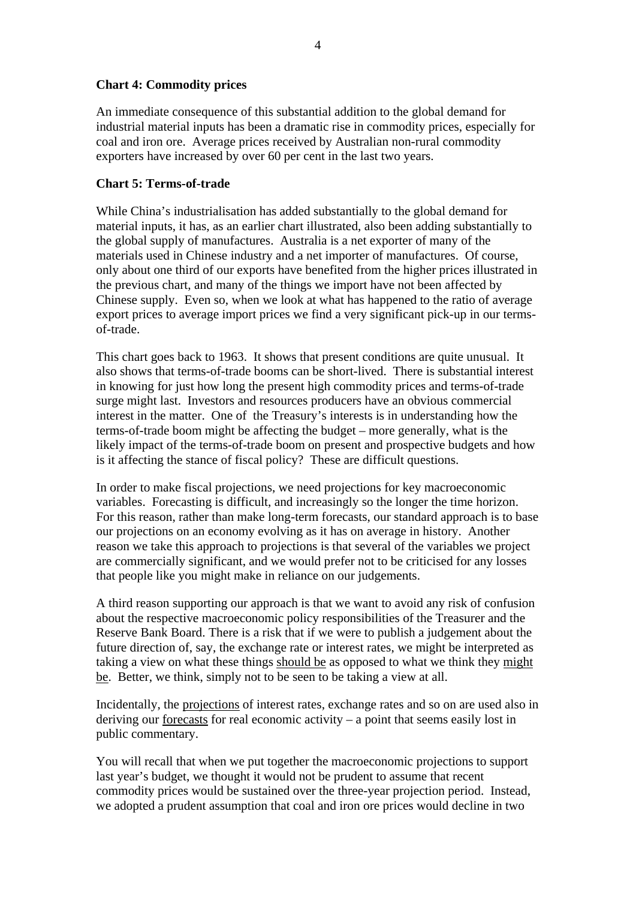#### **Chart 4: Commodity prices**

An immediate consequence of this substantial addition to the global demand for industrial material inputs has been a dramatic rise in commodity prices, especially for coal and iron ore. Average prices received by Australian non-rural commodity exporters have increased by over 60 per cent in the last two years.

#### **Chart 5: Terms-of-trade**

While China's industrialisation has added substantially to the global demand for material inputs, it has, as an earlier chart illustrated, also been adding substantially to the global supply of manufactures. Australia is a net exporter of many of the materials used in Chinese industry and a net importer of manufactures. Of course, only about one third of our exports have benefited from the higher prices illustrated in the previous chart, and many of the things we import have not been affected by Chinese supply. Even so, when we look at what has happened to the ratio of average export prices to average import prices we find a very significant pick-up in our termsof-trade.

This chart goes back to 1963. It shows that present conditions are quite unusual. It also shows that terms-of-trade booms can be short-lived. There is substantial interest in knowing for just how long the present high commodity prices and terms-of-trade surge might last. Investors and resources producers have an obvious commercial interest in the matter. One of the Treasury's interests is in understanding how the terms-of-trade boom might be affecting the budget – more generally, what is the likely impact of the terms-of-trade boom on present and prospective budgets and how is it affecting the stance of fiscal policy? These are difficult questions.

In order to make fiscal projections, we need projections for key macroeconomic variables. Forecasting is difficult, and increasingly so the longer the time horizon. For this reason, rather than make long-term forecasts, our standard approach is to base our projections on an economy evolving as it has on average in history. Another reason we take this approach to projections is that several of the variables we project are commercially significant, and we would prefer not to be criticised for any losses that people like you might make in reliance on our judgements.

A third reason supporting our approach is that we want to avoid any risk of confusion about the respective macroeconomic policy responsibilities of the Treasurer and the Reserve Bank Board. There is a risk that if we were to publish a judgement about the future direction of, say, the exchange rate or interest rates, we might be interpreted as taking a view on what these things should be as opposed to what we think they might be. Better, we think, simply not to be seen to be taking a view at all.

Incidentally, the projections of interest rates, exchange rates and so on are used also in deriving our forecasts for real economic activity – a point that seems easily lost in public commentary.

You will recall that when we put together the macroeconomic projections to support last year's budget, we thought it would not be prudent to assume that recent commodity prices would be sustained over the three-year projection period. Instead, we adopted a prudent assumption that coal and iron ore prices would decline in two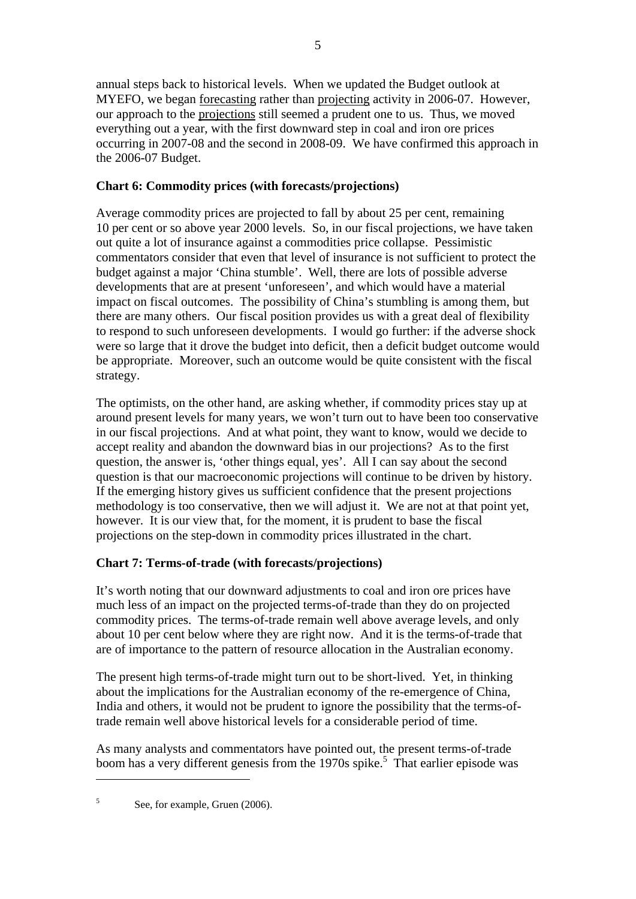annual steps back to historical levels. When we updated the Budget outlook at MYEFO, we began forecasting rather than projecting activity in 2006-07. However, our approach to the projections still seemed a prudent one to us. Thus, we moved everything out a year, with the first downward step in coal and iron ore prices occurring in 2007-08 and the second in 2008-09. We have confirmed this approach in the 2006-07 Budget.

### **Chart 6: Commodity prices (with forecasts/projections)**

Average commodity prices are projected to fall by about 25 per cent, remaining 10 per cent or so above year 2000 levels. So, in our fiscal projections, we have taken out quite a lot of insurance against a commodities price collapse. Pessimistic commentators consider that even that level of insurance is not sufficient to protect the budget against a major 'China stumble'. Well, there are lots of possible adverse developments that are at present 'unforeseen', and which would have a material impact on fiscal outcomes. The possibility of China's stumbling is among them, but there are many others. Our fiscal position provides us with a great deal of flexibility to respond to such unforeseen developments. I would go further: if the adverse shock were so large that it drove the budget into deficit, then a deficit budget outcome would be appropriate. Moreover, such an outcome would be quite consistent with the fiscal strategy.

The optimists, on the other hand, are asking whether, if commodity prices stay up at around present levels for many years, we won't turn out to have been too conservative in our fiscal projections. And at what point, they want to know, would we decide to accept reality and abandon the downward bias in our projections? As to the first question, the answer is, 'other things equal, yes'. All I can say about the second question is that our macroeconomic projections will continue to be driven by history. If the emerging history gives us sufficient confidence that the present projections methodology is too conservative, then we will adjust it. We are not at that point yet, however. It is our view that, for the moment, it is prudent to base the fiscal projections on the step-down in commodity prices illustrated in the chart.

## **Chart 7: Terms-of-trade (with forecasts/projections)**

It's worth noting that our downward adjustments to coal and iron ore prices have much less of an impact on the projected terms-of-trade than they do on projected commodity prices. The terms-of-trade remain well above average levels, and only about 10 per cent below where they are right now. And it is the terms-of-trade that are of importance to the pattern of resource allocation in the Australian economy.

The present high terms-of-trade might turn out to be short-lived. Yet, in thinking about the implications for the Australian economy of the re-emergence of China, India and others, it would not be prudent to ignore the possibility that the terms-oftrade remain well above historical levels for a considerable period of time.

As many analysts and commentators have pointed out, the present terms-of-trade boom has a very different genesis from the 1970s spike.<sup>5</sup> That earlier episode was

5 See, for example, Gruen (2006).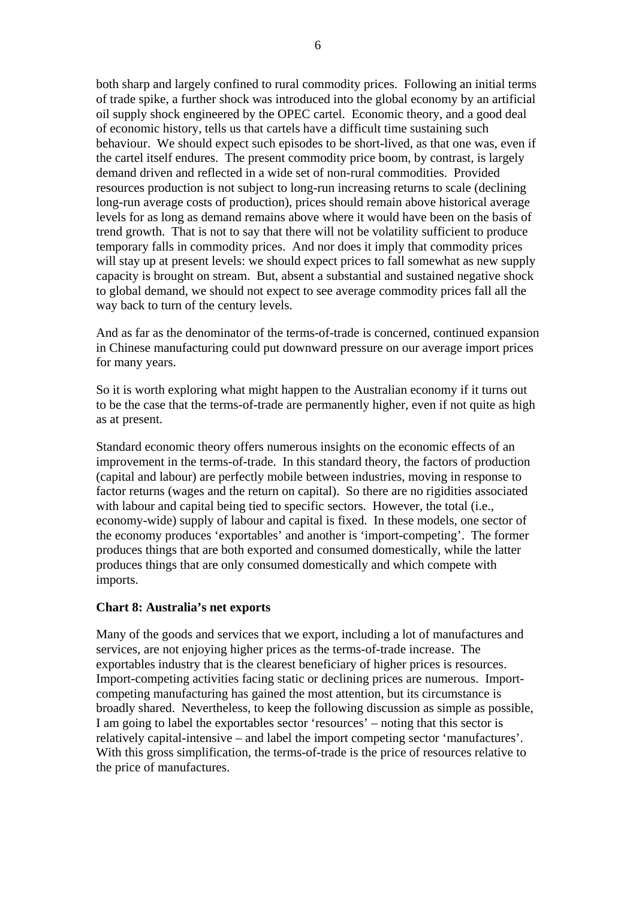both sharp and largely confined to rural commodity prices. Following an initial terms of trade spike, a further shock was introduced into the global economy by an artificial oil supply shock engineered by the OPEC cartel. Economic theory, and a good deal of economic history, tells us that cartels have a difficult time sustaining such behaviour. We should expect such episodes to be short-lived, as that one was, even if the cartel itself endures. The present commodity price boom, by contrast, is largely demand driven and reflected in a wide set of non-rural commodities. Provided resources production is not subject to long-run increasing returns to scale (declining long-run average costs of production), prices should remain above historical average levels for as long as demand remains above where it would have been on the basis of trend growth. That is not to say that there will not be volatility sufficient to produce temporary falls in commodity prices. And nor does it imply that commodity prices will stay up at present levels: we should expect prices to fall somewhat as new supply capacity is brought on stream. But, absent a substantial and sustained negative shock to global demand, we should not expect to see average commodity prices fall all the way back to turn of the century levels.

And as far as the denominator of the terms-of-trade is concerned, continued expansion in Chinese manufacturing could put downward pressure on our average import prices for many years.

So it is worth exploring what might happen to the Australian economy if it turns out to be the case that the terms-of-trade are permanently higher, even if not quite as high as at present.

Standard economic theory offers numerous insights on the economic effects of an improvement in the terms-of-trade. In this standard theory, the factors of production (capital and labour) are perfectly mobile between industries, moving in response to factor returns (wages and the return on capital). So there are no rigidities associated with labour and capital being tied to specific sectors. However, the total (i.e., economy-wide) supply of labour and capital is fixed. In these models, one sector of the economy produces 'exportables' and another is 'import-competing'. The former produces things that are both exported and consumed domestically, while the latter produces things that are only consumed domestically and which compete with imports.

#### **Chart 8: Australia's net exports**

Many of the goods and services that we export, including a lot of manufactures and services, are not enjoying higher prices as the terms-of-trade increase. The exportables industry that is the clearest beneficiary of higher prices is resources. Import-competing activities facing static or declining prices are numerous. Importcompeting manufacturing has gained the most attention, but its circumstance is broadly shared. Nevertheless, to keep the following discussion as simple as possible, I am going to label the exportables sector 'resources' – noting that this sector is relatively capital-intensive – and label the import competing sector 'manufactures'. With this gross simplification, the terms-of-trade is the price of resources relative to the price of manufactures.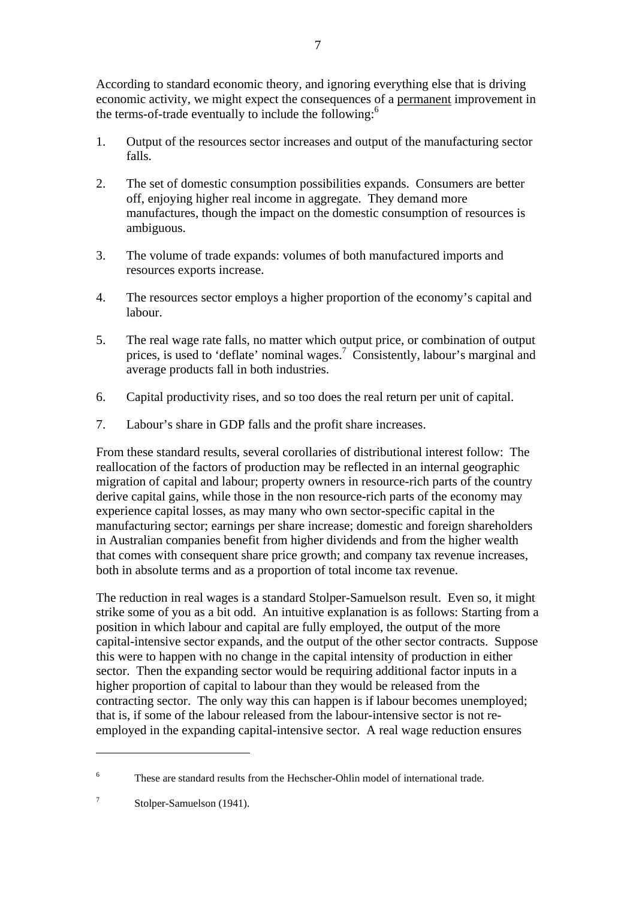According to standard economic theory, and ignoring everything else that is driving economic activity, we might expect the consequences of a permanent improvement in the terms-of-trade eventually to include the following: $<sup>6</sup>$ </sup>

- 1. Output of the resources sector increases and output of the manufacturing sector falls.
- 2. The set of domestic consumption possibilities expands. Consumers are better off, enjoying higher real income in aggregate. They demand more manufactures, though the impact on the domestic consumption of resources is ambiguous.
- 3. The volume of trade expands: volumes of both manufactured imports and resources exports increase.
- 4. The resources sector employs a higher proportion of the economy's capital and labour.
- 5. The real wage rate falls, no matter which output price, or combination of output prices, is used to 'deflate' nominal wages.<sup>7</sup> Consistently, labour's marginal and average products fall in both industries.
- 6. Capital productivity rises, and so too does the real return per unit of capital.
- 7. Labour's share in GDP falls and the profit share increases.

From these standard results, several corollaries of distributional interest follow: The reallocation of the factors of production may be reflected in an internal geographic migration of capital and labour; property owners in resource-rich parts of the country derive capital gains, while those in the non resource-rich parts of the economy may experience capital losses, as may many who own sector-specific capital in the manufacturing sector; earnings per share increase; domestic and foreign shareholders in Australian companies benefit from higher dividends and from the higher wealth that comes with consequent share price growth; and company tax revenue increases, both in absolute terms and as a proportion of total income tax revenue.

The reduction in real wages is a standard Stolper-Samuelson result. Even so, it might strike some of you as a bit odd. An intuitive explanation is as follows: Starting from a position in which labour and capital are fully employed, the output of the more capital-intensive sector expands, and the output of the other sector contracts. Suppose this were to happen with no change in the capital intensity of production in either sector. Then the expanding sector would be requiring additional factor inputs in a higher proportion of capital to labour than they would be released from the contracting sector. The only way this can happen is if labour becomes unemployed; that is, if some of the labour released from the labour-intensive sector is not reemployed in the expanding capital-intensive sector. A real wage reduction ensures

<u>.</u>

<sup>6</sup> These are standard results from the Hechscher-Ohlin model of international trade.

<sup>7</sup> Stolper-Samuelson (1941).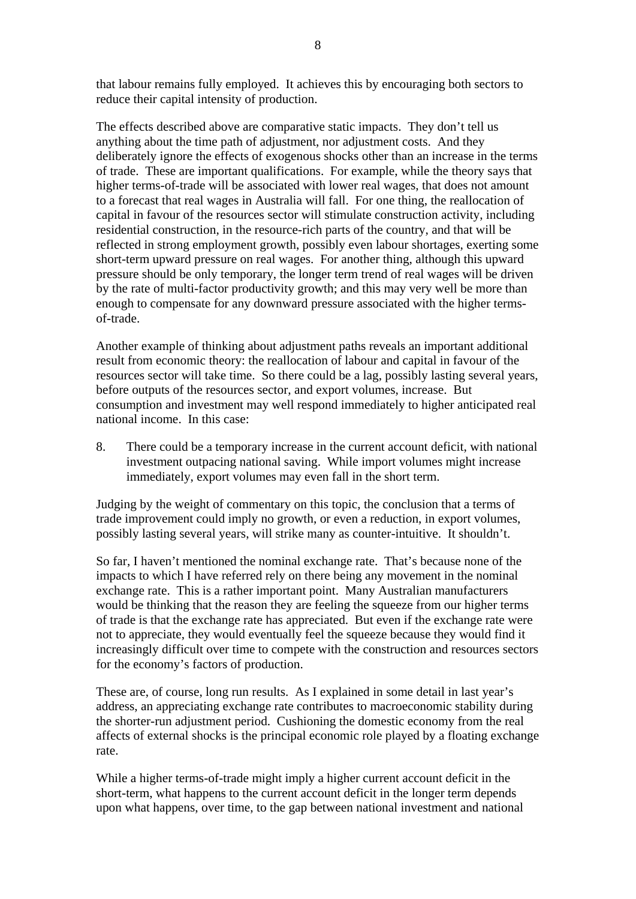that labour remains fully employed. It achieves this by encouraging both sectors to reduce their capital intensity of production.

The effects described above are comparative static impacts. They don't tell us anything about the time path of adjustment, nor adjustment costs. And they deliberately ignore the effects of exogenous shocks other than an increase in the terms of trade. These are important qualifications. For example, while the theory says that higher terms-of-trade will be associated with lower real wages, that does not amount to a forecast that real wages in Australia will fall. For one thing, the reallocation of capital in favour of the resources sector will stimulate construction activity, including residential construction, in the resource-rich parts of the country, and that will be reflected in strong employment growth, possibly even labour shortages, exerting some short-term upward pressure on real wages. For another thing, although this upward pressure should be only temporary, the longer term trend of real wages will be driven by the rate of multi-factor productivity growth; and this may very well be more than enough to compensate for any downward pressure associated with the higher termsof-trade.

Another example of thinking about adjustment paths reveals an important additional result from economic theory: the reallocation of labour and capital in favour of the resources sector will take time. So there could be a lag, possibly lasting several years, before outputs of the resources sector, and export volumes, increase. But consumption and investment may well respond immediately to higher anticipated real national income. In this case:

8. There could be a temporary increase in the current account deficit, with national investment outpacing national saving. While import volumes might increase immediately, export volumes may even fall in the short term.

Judging by the weight of commentary on this topic, the conclusion that a terms of trade improvement could imply no growth, or even a reduction, in export volumes, possibly lasting several years, will strike many as counter-intuitive. It shouldn't.

So far, I haven't mentioned the nominal exchange rate. That's because none of the impacts to which I have referred rely on there being any movement in the nominal exchange rate. This is a rather important point. Many Australian manufacturers would be thinking that the reason they are feeling the squeeze from our higher terms of trade is that the exchange rate has appreciated. But even if the exchange rate were not to appreciate, they would eventually feel the squeeze because they would find it increasingly difficult over time to compete with the construction and resources sectors for the economy's factors of production.

These are, of course, long run results. As I explained in some detail in last year's address, an appreciating exchange rate contributes to macroeconomic stability during the shorter-run adjustment period. Cushioning the domestic economy from the real affects of external shocks is the principal economic role played by a floating exchange rate.

While a higher terms-of-trade might imply a higher current account deficit in the short-term, what happens to the current account deficit in the longer term depends upon what happens, over time, to the gap between national investment and national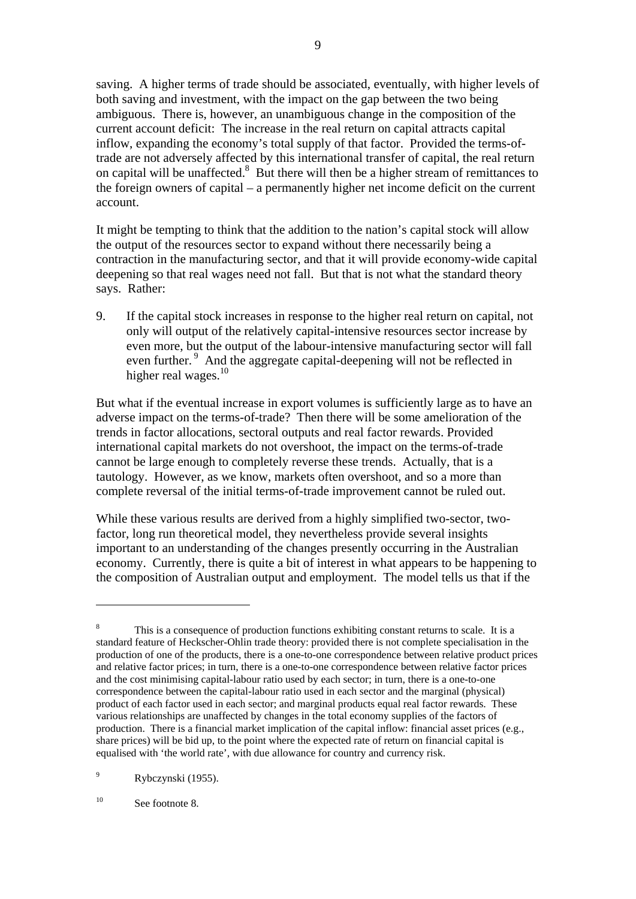saving. A higher terms of trade should be associated, eventually, with higher levels of both saving and investment, with the impact on the gap between the two being ambiguous. There is, however, an unambiguous change in the composition of the current account deficit: The increase in the real return on capital attracts capital inflow, expanding the economy's total supply of that factor. Provided the terms-oftrade are not adversely affected by this international transfer of capital, the real return on capital will be unaffected.<sup>8</sup> But there will then be a higher stream of remittances to the foreign owners of capital – a permanently higher net income deficit on the current account.

It might be tempting to think that the addition to the nation's capital stock will allow the output of the resources sector to expand without there necessarily being a contraction in the manufacturing sector, and that it will provide economy-wide capital deepening so that real wages need not fall. But that is not what the standard theory says. Rather:

9. If the capital stock increases in response to the higher real return on capital, not only will output of the relatively capital-intensive resources sector increase by even more, but the output of the labour-intensive manufacturing sector will fall even further.<sup>9</sup> And the aggregate capital-deepening will not be reflected in higher real wages.<sup>10</sup>

But what if the eventual increase in export volumes is sufficiently large as to have an adverse impact on the terms-of-trade? Then there will be some amelioration of the trends in factor allocations, sectoral outputs and real factor rewards. Provided international capital markets do not overshoot, the impact on the terms-of-trade cannot be large enough to completely reverse these trends. Actually, that is a tautology. However, as we know, markets often overshoot, and so a more than complete reversal of the initial terms-of-trade improvement cannot be ruled out.

While these various results are derived from a highly simplified two-sector, twofactor, long run theoretical model, they nevertheless provide several insights important to an understanding of the changes presently occurring in the Australian economy. Currently, there is quite a bit of interest in what appears to be happening to the composition of Australian output and employment. The model tells us that if the

9 Rybczynski (1955).

<sup>10</sup> See footnote 8.

<sup>8</sup> This is a consequence of production functions exhibiting constant returns to scale. It is a standard feature of Heckscher-Ohlin trade theory: provided there is not complete specialisation in the production of one of the products, there is a one-to-one correspondence between relative product prices and relative factor prices; in turn, there is a one-to-one correspondence between relative factor prices and the cost minimising capital-labour ratio used by each sector; in turn, there is a one-to-one correspondence between the capital-labour ratio used in each sector and the marginal (physical) product of each factor used in each sector; and marginal products equal real factor rewards. These various relationships are unaffected by changes in the total economy supplies of the factors of production. There is a financial market implication of the capital inflow: financial asset prices (e.g., share prices) will be bid up, to the point where the expected rate of return on financial capital is equalised with 'the world rate', with due allowance for country and currency risk.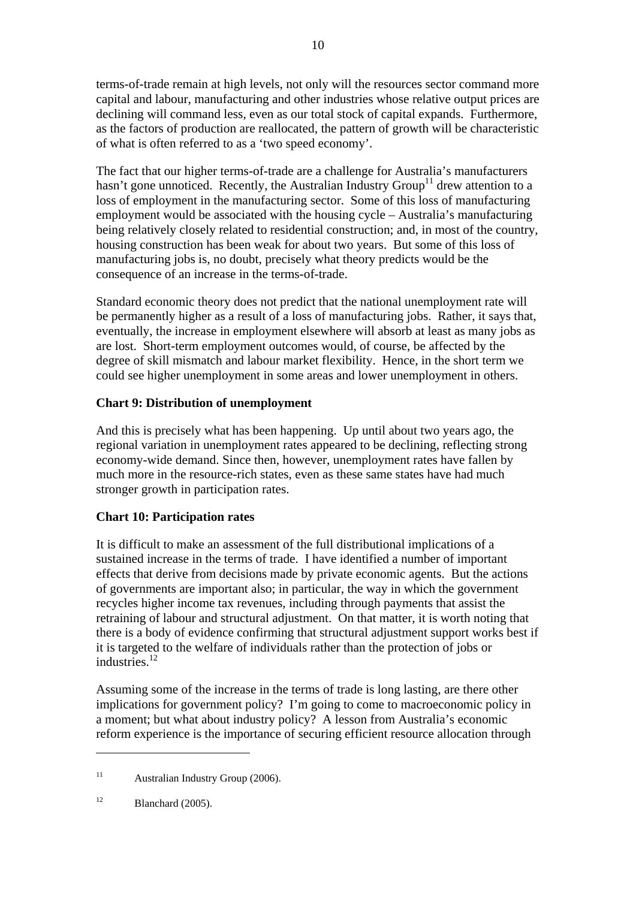terms-of-trade remain at high levels, not only will the resources sector command more capital and labour, manufacturing and other industries whose relative output prices are declining will command less, even as our total stock of capital expands. Furthermore, as the factors of production are reallocated, the pattern of growth will be characteristic of what is often referred to as a 'two speed economy'.

The fact that our higher terms-of-trade are a challenge for Australia's manufacturers hasn't gone unnoticed. Recently, the Australian Industry  $Group<sup>11</sup>$  drew attention to a loss of employment in the manufacturing sector. Some of this loss of manufacturing employment would be associated with the housing cycle – Australia's manufacturing being relatively closely related to residential construction; and, in most of the country, housing construction has been weak for about two years. But some of this loss of manufacturing jobs is, no doubt, precisely what theory predicts would be the consequence of an increase in the terms-of-trade.

Standard economic theory does not predict that the national unemployment rate will be permanently higher as a result of a loss of manufacturing jobs. Rather, it says that, eventually, the increase in employment elsewhere will absorb at least as many jobs as are lost. Short-term employment outcomes would, of course, be affected by the degree of skill mismatch and labour market flexibility. Hence, in the short term we could see higher unemployment in some areas and lower unemployment in others.

#### **Chart 9: Distribution of unemployment**

And this is precisely what has been happening. Up until about two years ago, the regional variation in unemployment rates appeared to be declining, reflecting strong economy-wide demand. Since then, however, unemployment rates have fallen by much more in the resource-rich states, even as these same states have had much stronger growth in participation rates.

#### **Chart 10: Participation rates**

It is difficult to make an assessment of the full distributional implications of a sustained increase in the terms of trade. I have identified a number of important effects that derive from decisions made by private economic agents. But the actions of governments are important also; in particular, the way in which the government recycles higher income tax revenues, including through payments that assist the retraining of labour and structural adjustment. On that matter, it is worth noting that there is a body of evidence confirming that structural adjustment support works best if it is targeted to the welfare of individuals rather than the protection of jobs or industries.12

Assuming some of the increase in the terms of trade is long lasting, are there other implications for government policy? I'm going to come to macroeconomic policy in a moment; but what about industry policy? A lesson from Australia's economic reform experience is the importance of securing efficient resource allocation through

<u>.</u>

<sup>&</sup>lt;sup>11</sup> Australian Industry Group (2006).

 $12$  Blanchard (2005).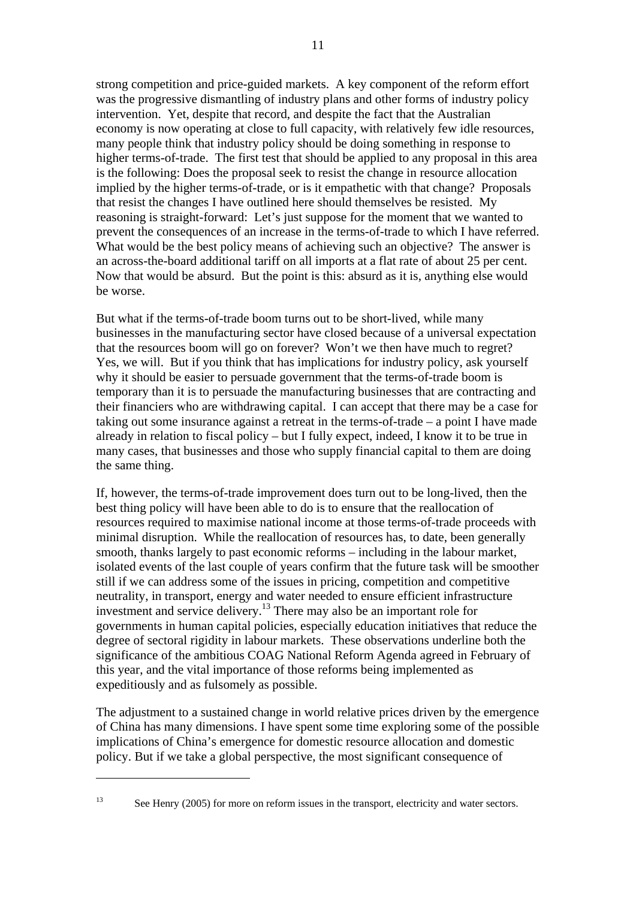strong competition and price-guided markets. A key component of the reform effort was the progressive dismantling of industry plans and other forms of industry policy intervention. Yet, despite that record, and despite the fact that the Australian economy is now operating at close to full capacity, with relatively few idle resources, many people think that industry policy should be doing something in response to higher terms-of-trade. The first test that should be applied to any proposal in this area is the following: Does the proposal seek to resist the change in resource allocation implied by the higher terms-of-trade, or is it empathetic with that change? Proposals that resist the changes I have outlined here should themselves be resisted. My reasoning is straight-forward: Let's just suppose for the moment that we wanted to prevent the consequences of an increase in the terms-of-trade to which I have referred. What would be the best policy means of achieving such an objective? The answer is an across-the-board additional tariff on all imports at a flat rate of about 25 per cent. Now that would be absurd. But the point is this: absurd as it is, anything else would be worse.

But what if the terms-of-trade boom turns out to be short-lived, while many businesses in the manufacturing sector have closed because of a universal expectation that the resources boom will go on forever? Won't we then have much to regret? Yes, we will. But if you think that has implications for industry policy, ask yourself why it should be easier to persuade government that the terms-of-trade boom is temporary than it is to persuade the manufacturing businesses that are contracting and their financiers who are withdrawing capital. I can accept that there may be a case for taking out some insurance against a retreat in the terms-of-trade – a point I have made already in relation to fiscal policy – but I fully expect, indeed, I know it to be true in many cases, that businesses and those who supply financial capital to them are doing the same thing.

If, however, the terms-of-trade improvement does turn out to be long-lived, then the best thing policy will have been able to do is to ensure that the reallocation of resources required to maximise national income at those terms-of-trade proceeds with minimal disruption. While the reallocation of resources has, to date, been generally smooth, thanks largely to past economic reforms – including in the labour market, isolated events of the last couple of years confirm that the future task will be smoother still if we can address some of the issues in pricing, competition and competitive neutrality, in transport, energy and water needed to ensure efficient infrastructure investment and service delivery.<sup>13</sup> There may also be an important role for governments in human capital policies, especially education initiatives that reduce the degree of sectoral rigidity in labour markets. These observations underline both the significance of the ambitious COAG National Reform Agenda agreed in February of this year, and the vital importance of those reforms being implemented as expeditiously and as fulsomely as possible.

The adjustment to a sustained change in world relative prices driven by the emergence of China has many dimensions. I have spent some time exploring some of the possible implications of China's emergence for domestic resource allocation and domestic policy. But if we take a global perspective, the most significant consequence of

<sup>&</sup>lt;sup>13</sup> See Henry (2005) for more on reform issues in the transport, electricity and water sectors.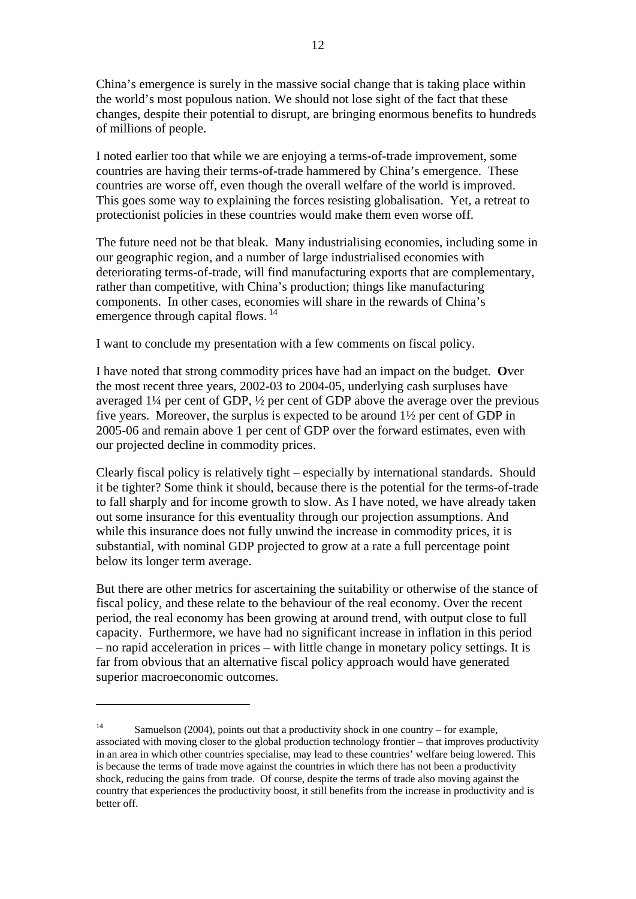China's emergence is surely in the massive social change that is taking place within the world's most populous nation. We should not lose sight of the fact that these changes, despite their potential to disrupt, are bringing enormous benefits to hundreds of millions of people.

I noted earlier too that while we are enjoying a terms-of-trade improvement, some countries are having their terms-of-trade hammered by China's emergence. These countries are worse off, even though the overall welfare of the world is improved. This goes some way to explaining the forces resisting globalisation. Yet, a retreat to protectionist policies in these countries would make them even worse off.

The future need not be that bleak. Many industrialising economies, including some in our geographic region, and a number of large industrialised economies with deteriorating terms-of-trade, will find manufacturing exports that are complementary, rather than competitive, with China's production; things like manufacturing components. In other cases, economies will share in the rewards of China's emergence through capital flows.<sup>14</sup>

I want to conclude my presentation with a few comments on fiscal policy.

I have noted that strong commodity prices have had an impact on the budget. **O**ver the most recent three years, 2002-03 to 2004-05, underlying cash surpluses have averaged 1¼ per cent of GDP, ½ per cent of GDP above the average over the previous five years. Moreover, the surplus is expected to be around 1½ per cent of GDP in 2005-06 and remain above 1 per cent of GDP over the forward estimates, even with our projected decline in commodity prices.

Clearly fiscal policy is relatively tight – especially by international standards. Should it be tighter? Some think it should, because there is the potential for the terms-of-trade to fall sharply and for income growth to slow. As I have noted, we have already taken out some insurance for this eventuality through our projection assumptions. And while this insurance does not fully unwind the increase in commodity prices, it is substantial, with nominal GDP projected to grow at a rate a full percentage point below its longer term average.

But there are other metrics for ascertaining the suitability or otherwise of the stance of fiscal policy, and these relate to the behaviour of the real economy. Over the recent period, the real economy has been growing at around trend, with output close to full capacity. Furthermore, we have had no significant increase in inflation in this period – no rapid acceleration in prices – with little change in monetary policy settings. It is far from obvious that an alternative fiscal policy approach would have generated superior macroeconomic outcomes.

<sup>&</sup>lt;sup>14</sup> Samuelson (2004), points out that a productivity shock in one country – for example, associated with moving closer to the global production technology frontier – that improves productivity in an area in which other countries specialise, may lead to these countries' welfare being lowered. This is because the terms of trade move against the countries in which there has not been a productivity shock, reducing the gains from trade. Of course, despite the terms of trade also moving against the country that experiences the productivity boost, it still benefits from the increase in productivity and is better off.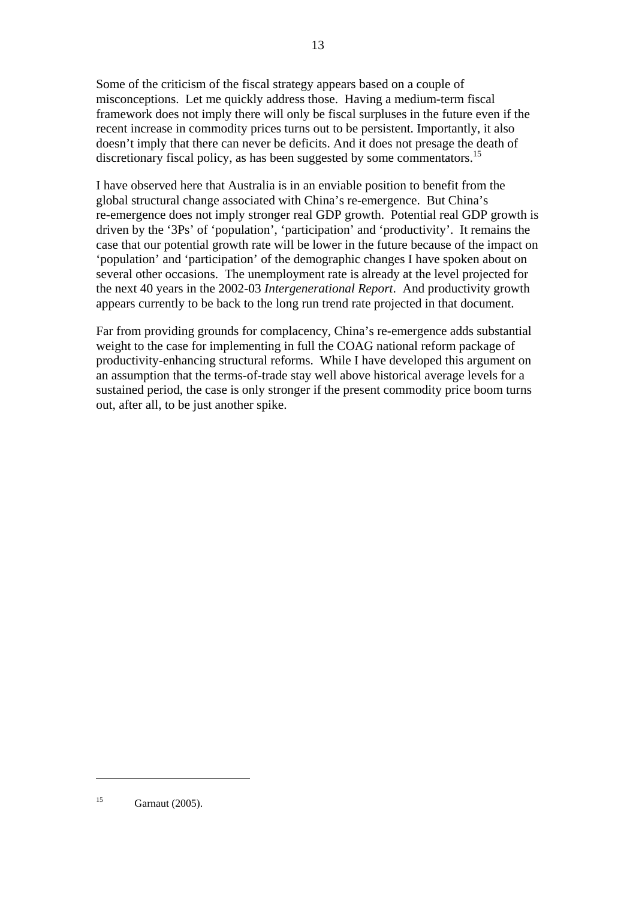Some of the criticism of the fiscal strategy appears based on a couple of misconceptions. Let me quickly address those. Having a medium-term fiscal framework does not imply there will only be fiscal surpluses in the future even if the recent increase in commodity prices turns out to be persistent. Importantly, it also doesn't imply that there can never be deficits. And it does not presage the death of discretionary fiscal policy, as has been suggested by some commentators.<sup>15</sup>

I have observed here that Australia is in an enviable position to benefit from the global structural change associated with China's re-emergence. But China's re-emergence does not imply stronger real GDP growth. Potential real GDP growth is driven by the '3Ps' of 'population', 'participation' and 'productivity'. It remains the case that our potential growth rate will be lower in the future because of the impact on 'population' and 'participation' of the demographic changes I have spoken about on several other occasions. The unemployment rate is already at the level projected for the next 40 years in the 2002-03 *Intergenerational Report*. And productivity growth appears currently to be back to the long run trend rate projected in that document.

Far from providing grounds for complacency, China's re-emergence adds substantial weight to the case for implementing in full the COAG national reform package of productivity-enhancing structural reforms. While I have developed this argument on an assumption that the terms-of-trade stay well above historical average levels for a sustained period, the case is only stronger if the present commodity price boom turns out, after all, to be just another spike.

<sup>15</sup> Garnaut (2005).